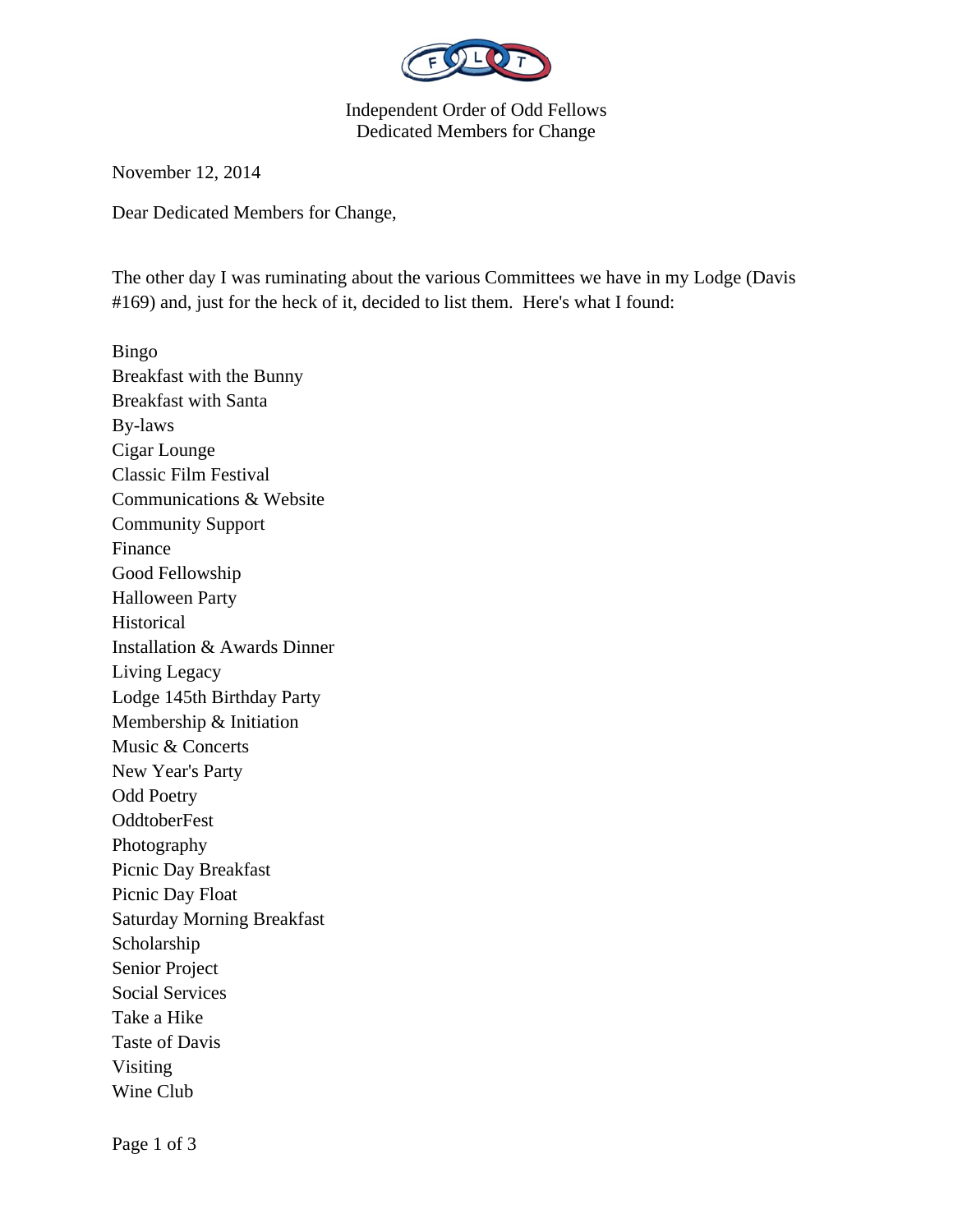

Independent Order of Odd Fellows Dedicated Members for Change

November 12, 2014

Dear Dedicated Members for Change,

The other day I was ruminating about the various Committees we have in my Lodge (Davis #169) and, just for the heck of it, decided to list them. Here's what I found:

Bingo Breakfast with the Bunny Breakfast with Santa By-laws Cigar Lounge Classic Film Festival Communications & Website Community Support Finance Good Fellowship Halloween Party Historical Installation & Awards Dinner Living Legacy Lodge 145th Birthday Party Membership & Initiation Music & Concerts New Year's Party Odd Poetry **OddtoberFest** Photography Picnic Day Breakfast Picnic Day Float Saturday Morning Breakfast Scholarship Senior Project Social Services Take a Hike Taste of Davis Visiting Wine Club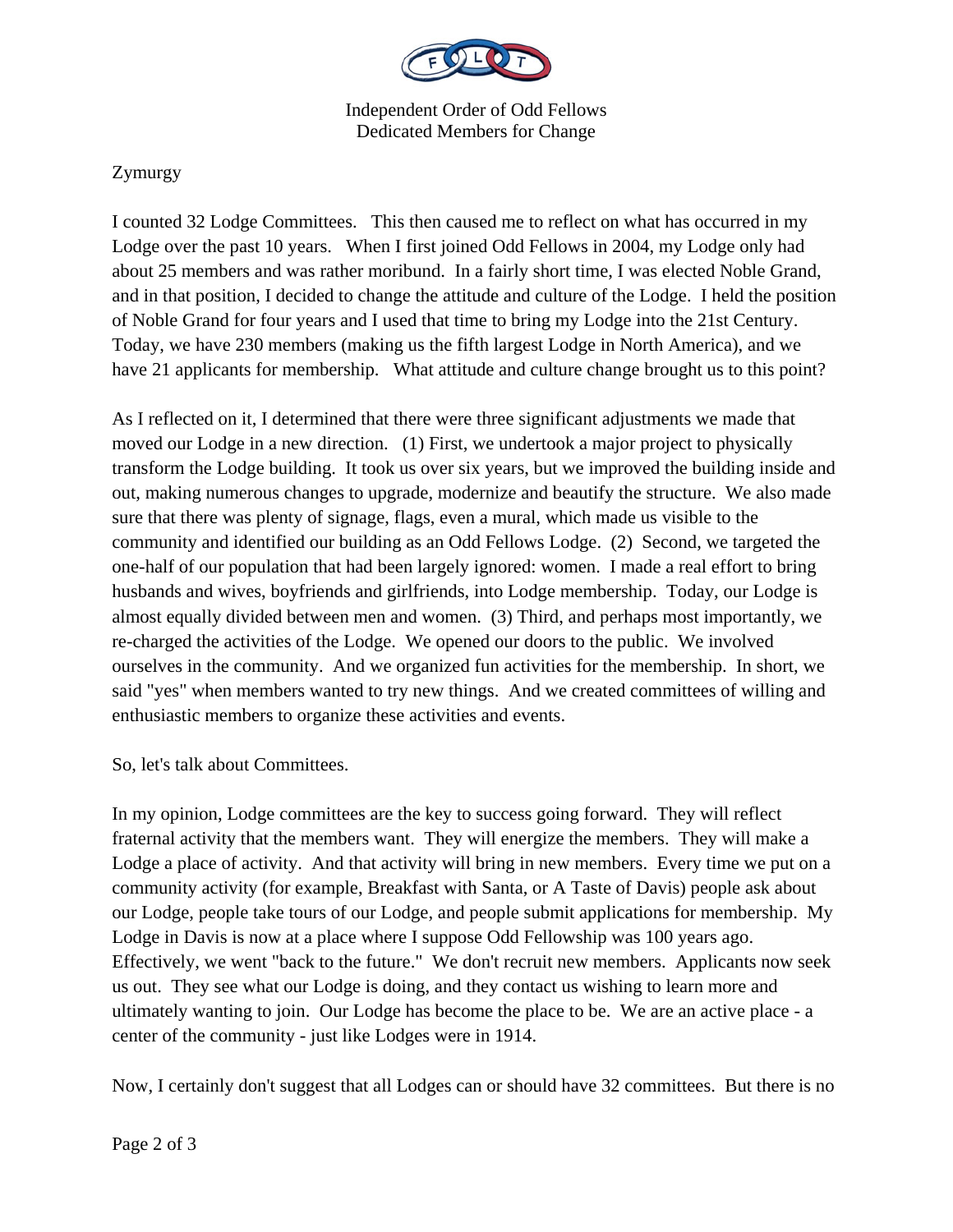

Independent Order of Odd Fellows Dedicated Members for Change

## Zymurgy

I counted 32 Lodge Committees. This then caused me to reflect on what has occurred in my Lodge over the past 10 years. When I first joined Odd Fellows in 2004, my Lodge only had about 25 members and was rather moribund. In a fairly short time, I was elected Noble Grand, and in that position, I decided to change the attitude and culture of the Lodge. I held the position of Noble Grand for four years and I used that time to bring my Lodge into the 21st Century. Today, we have 230 members (making us the fifth largest Lodge in North America), and we have 21 applicants for membership. What attitude and culture change brought us to this point?

As I reflected on it, I determined that there were three significant adjustments we made that moved our Lodge in a new direction. (1) First, we undertook a major project to physically transform the Lodge building. It took us over six years, but we improved the building inside and out, making numerous changes to upgrade, modernize and beautify the structure. We also made sure that there was plenty of signage, flags, even a mural, which made us visible to the community and identified our building as an Odd Fellows Lodge. (2) Second, we targeted the one-half of our population that had been largely ignored: women. I made a real effort to bring husbands and wives, boyfriends and girlfriends, into Lodge membership. Today, our Lodge is almost equally divided between men and women. (3) Third, and perhaps most importantly, we re-charged the activities of the Lodge. We opened our doors to the public. We involved ourselves in the community. And we organized fun activities for the membership. In short, we said "yes" when members wanted to try new things. And we created committees of willing and enthusiastic members to organize these activities and events.

So, let's talk about Committees.

In my opinion, Lodge committees are the key to success going forward. They will reflect fraternal activity that the members want. They will energize the members. They will make a Lodge a place of activity. And that activity will bring in new members. Every time we put on a community activity (for example, Breakfast with Santa, or A Taste of Davis) people ask about our Lodge, people take tours of our Lodge, and people submit applications for membership. My Lodge in Davis is now at a place where I suppose Odd Fellowship was 100 years ago. Effectively, we went "back to the future." We don't recruit new members. Applicants now seek us out. They see what our Lodge is doing, and they contact us wishing to learn more and ultimately wanting to join. Our Lodge has become the place to be. We are an active place - a center of the community - just like Lodges were in 1914.

Now, I certainly don't suggest that all Lodges can or should have 32 committees. But there is no